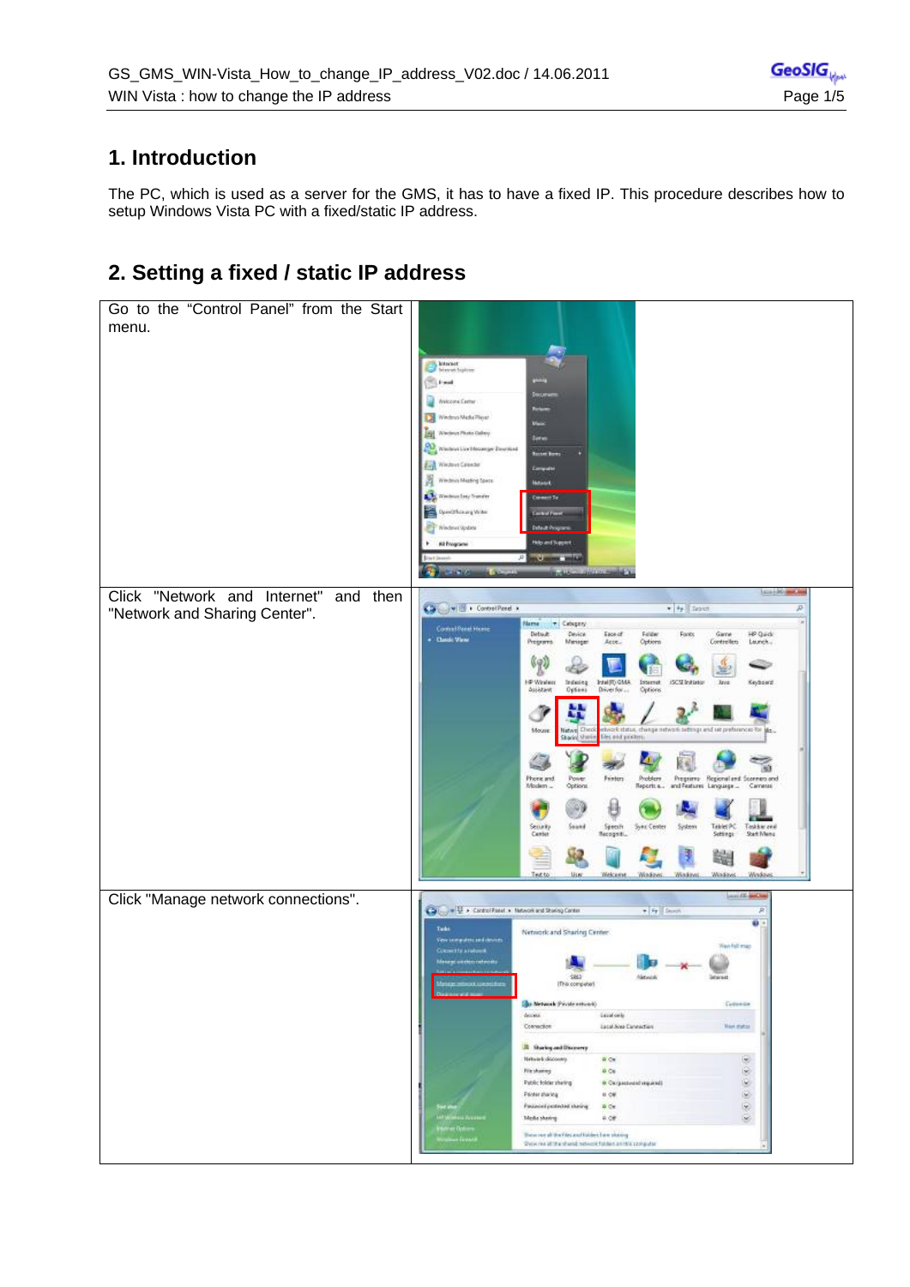### **1. Introduction**

The PC, which is used as a server for the GMS, it has to have a fixed IP. This procedure describes how to setup Windows Vista PC with a fixed/static IP address.

## **2. Setting a fixed / static IP address**

| Go to the "Control Panel" from the Start<br>menu. |                                                                                                                                                                                      |
|---------------------------------------------------|--------------------------------------------------------------------------------------------------------------------------------------------------------------------------------------|
|                                                   |                                                                                                                                                                                      |
|                                                   | Market<br>Mercet hydron<br><b>CLEANS</b>                                                                                                                                             |
|                                                   | Welcome Center                                                                                                                                                                       |
|                                                   | Windows Made Player                                                                                                                                                                  |
|                                                   | Wednes Photo Calley<br>œ<br>Washort Live Mooreger Doubled                                                                                                                            |
|                                                   | <b>Roomer Bow</b><br><b>Exp</b> Western Celester<br><b>Computer</b>                                                                                                                  |
|                                                   | Windows Mexting Space<br><b>Maturek</b>                                                                                                                                              |
|                                                   | N Wednesday Sunder<br>Caneeri To<br>OpenOficinary Writer<br><b>Continued Pr</b>                                                                                                      |
|                                                   | <sup>P</sup> Windows Update                                                                                                                                                          |
|                                                   | Holo and Support<br>All Programs                                                                                                                                                     |
|                                                   |                                                                                                                                                                                      |
| Click "Network and Internet"<br>and then          | 1414-20-880.00                                                                                                                                                                       |
| "Network and Sharing Center".                     | Calculation + ControlPanel +<br>$+$ $+$ $+$ Texas<br>p<br>Marrie:<br>+ Cabigany                                                                                                      |
|                                                   | Committeent Hypes<br>Detail:<br>HP Quick<br>Device<br>Ease of<br>Felder<br>Fants<br>Game<br><b>Classic View</b><br>Programs<br>Menager<br>Acct.<br>Options<br>Controllers<br>Laurich |
|                                                   | (19)                                                                                                                                                                                 |
|                                                   | I P Winless<br>Intel(R) GMA<br>Internet<br>ISCST Initiator<br>Industry<br>Keyboard<br><b>Jaya</b><br>Assistant<br>Optana<br>Driver for<br>Options                                    |
|                                                   |                                                                                                                                                                                      |
|                                                   | 90<br>twork status, change network settings and set preferences for<br>Mouse<br>Natwo Ched<br>Sharing Units<br>les and protern.                                                      |
|                                                   |                                                                                                                                                                                      |
|                                                   | Phone and<br>Finter<br>Problem<br>Programs Regional and Sconners and<br>Power.<br>Modem<br>Options.<br>Reports a<br>and Features<br>Language<br>Cameras                              |
|                                                   |                                                                                                                                                                                      |
|                                                   | Spech<br>Recogniti<br>Stored<br>System<br>Takiel PC<br>Taskkie zeil<br>Security<br>Sync Center<br>Center<br>Settings<br>Start Menu                                                   |
|                                                   | 晦                                                                                                                                                                                    |
|                                                   | Welcame<br>Test to<br><b>Use</b> :<br>Workeys.<br>Windows<br>Windows<br>Windows                                                                                                      |
| Click "Manage network connections".               | provide and in                                                                                                                                                                       |
|                                                   | Call Jue U. A Control Foreira, Network and Straing Center<br>я<br>o.                                                                                                                 |
|                                                   | Tudo<br>Network and Sharing Center.<br>Verrorganised devies<br><b>Westfall map</b>                                                                                                   |
|                                                   | Connect for a risk cost                                                                                                                                                              |
|                                                   | \$83<br><b>KWH</b><br>(17:00 competer)                                                                                                                                               |
|                                                   | <b>Sales Metwork (Private network)</b><br>Genevie                                                                                                                                    |
|                                                   | decess.<br>Least only.<br>Lacal Ana Cannection<br>Connection<br>Navightan                                                                                                            |
|                                                   | <b>R</b> Sharing and Discovery                                                                                                                                                       |
|                                                   | Network discovery<br>o de<br>G<br>600<br><b>File showing</b>                                                                                                                         |
|                                                   | 000<br>Public folder sheling<br>& Cargassuald separate<br>Printer disclos<br>6.06                                                                                                    |
|                                                   | Passeoul protected sharing<br>Q<br>$\Omega$ Or<br>Mode showing<br>Q<br>F.OF                                                                                                          |
|                                                   | Shew me all the files and hinkes I are sharing<br><b>Call Street</b>                                                                                                                 |
|                                                   | Show rise all that shared reduces folded an risk computer.                                                                                                                           |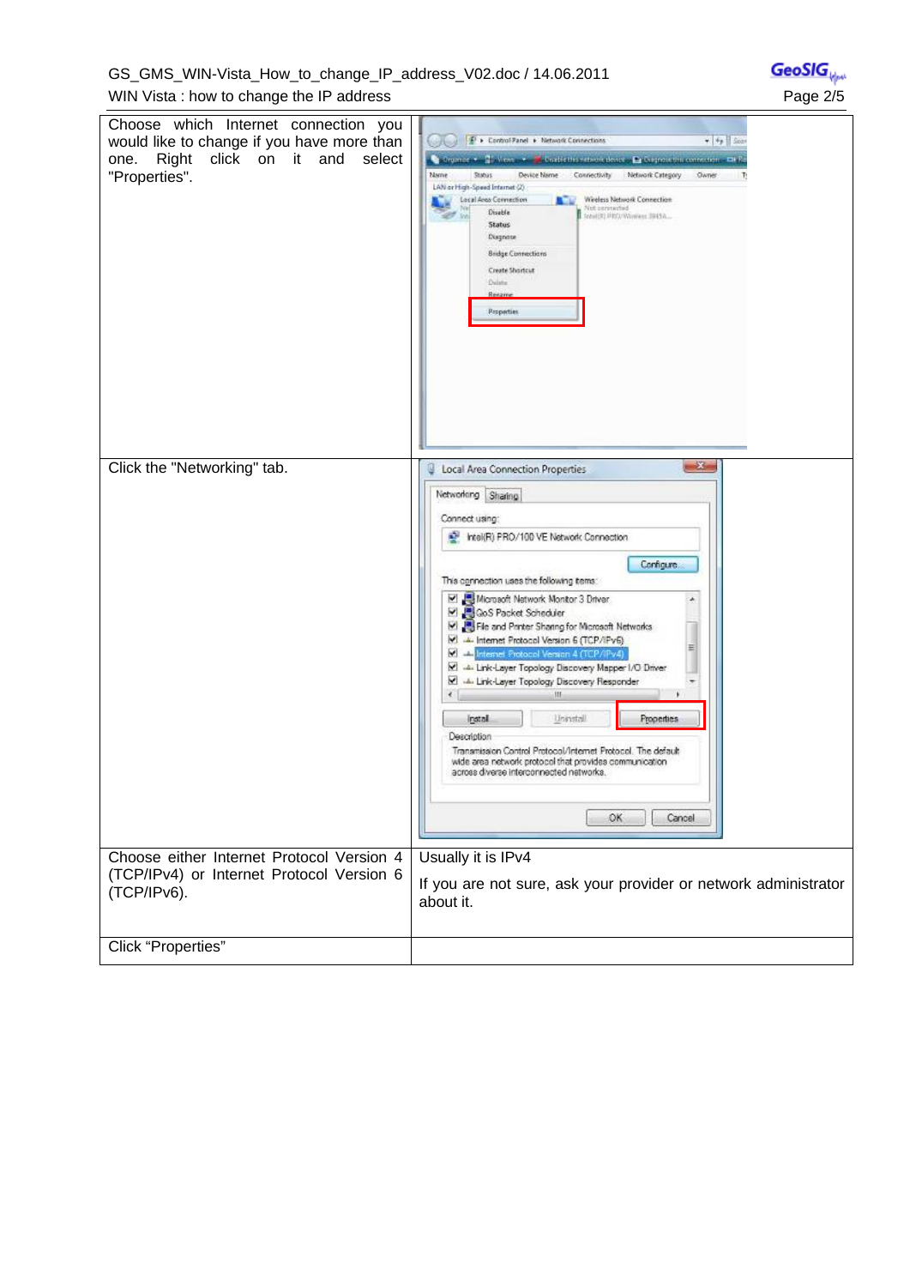GS\_GMS\_WIN-Vista\_How\_to\_change\_IP\_address\_V02.doc / 14.06.2011 WIN Vista: how to change the IP address **Page 2/5** Page 2/5

Choose which Internet connection you **De Lontral Fanel + Network Connections**  $-44$   $50$ would like to change if you have more than one. Right click on it and select Company of New C. Continued members Princeton members of the Name Status Device Name Connectivity Network Category<br>LAN or High-Speed Internet (2) "Properties". **Name** Owner Lacal Area Connection Windias Network Connection Net connected<br>
Short PROVKheres: 39456... Status Diagnose Bridge Connections Create Shortcut Cuise. Properties Click the "Networking" tab.  $-2 -$ Local Area Connection Properties Networking Sharing Connect using: Intel(R) PRO/100 VE Network Connection Configure. This ognnection uses the following tems: E Microsoft Network Monitor 3 Driver<br>E CoS Packet Scheduler<br>E CoS Packet Scheduler<br>E CoS Packet Sharing for Microsoft Networks  $\star$ M<br>
Internet Protocol Version 6 (TCP/IPv6)<br>
M<br>
Internet Protocol Version 4 (TCP/IPv4) 릐 M 4. Link-Layer Topology Discovery Mapper I/O Driver M 4. Link-Layer Topology Discovery Responder  $\leftarrow$ Install Unistall Properties Description Transmission Control Protocol/Internet Protocol. The default wide area network protocol that provides communication<br>across diverse interconnected networks. OK Cancel Usually it is IPv4 Choose either Internet Protocol Version 4 (TCP/IPv4) or Internet Protocol Version 6 If you are not sure, ask your provider or network administrator (TCP/IPv6). about it. Click "Properties"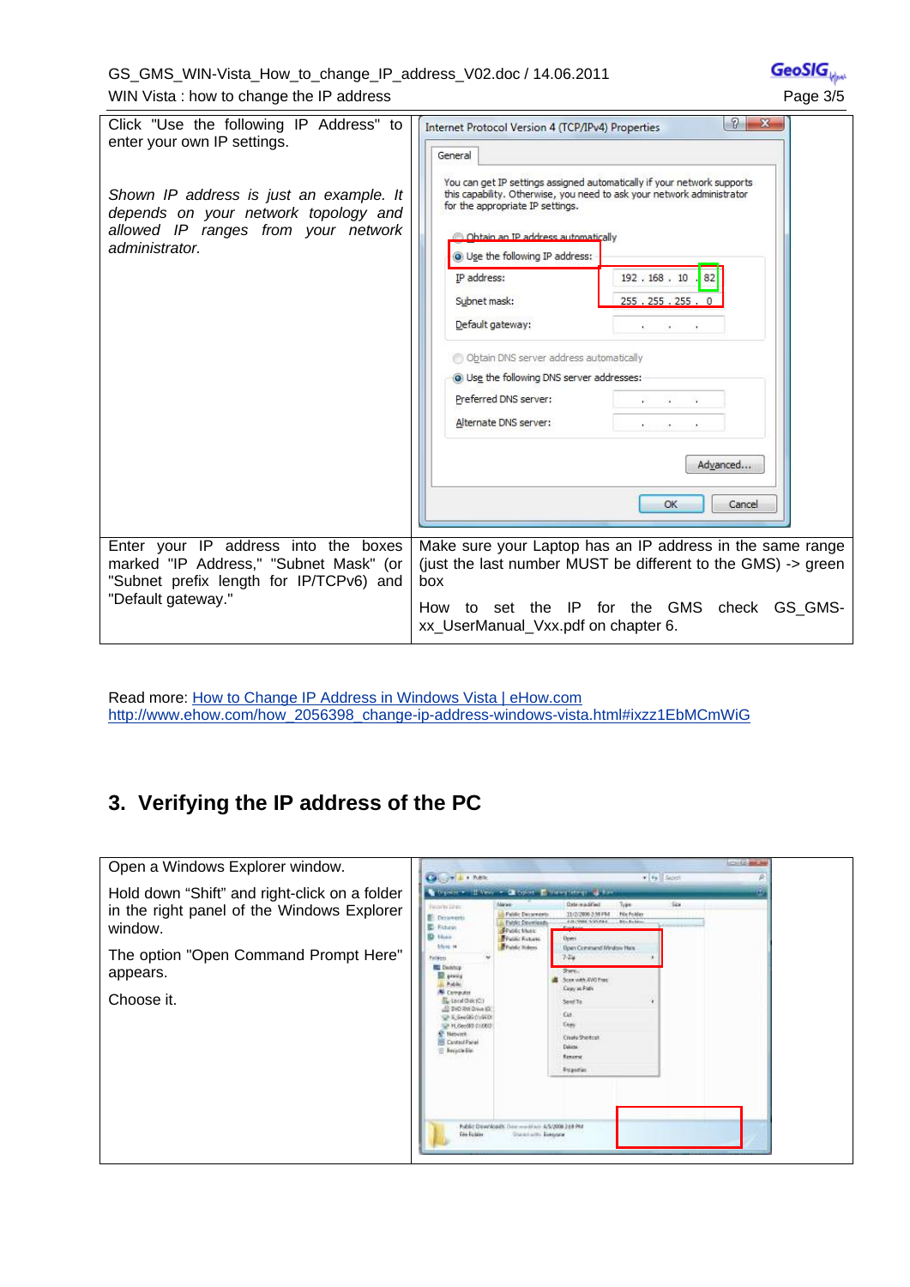#### GS\_GMS\_WIN-Vista\_How\_to\_change\_IP\_address\_V02.doc / 14.06.2011 WIN Vista: how to change the IP address **Page 3/5** Page 3/5

| Click "Use the following IP Address" to<br>enter your own IP settings.<br>Shown IP address is just an example. It<br>depends on your network topology and<br>allowed IP ranges from your network<br>administrator. | 2<br>$\mathbf{X}$<br>Internet Protocol Version 4 (TCP/IPv4) Properties<br>General<br>You can get IP settings assigned automatically if your network supports<br>this capability. Otherwise, you need to ask your network administrator<br>for the appropriate IP settings.<br>Obtain an IP address automatically<br>O Use the following IP address:<br>IP address:<br>192.168.10<br>82<br>255.255.255.<br>Subnet mask:<br>Default gateway:<br>Obtain DNS server address automatically<br>O Use the following DNS server addresses:<br>Preferred DNS server:<br>$\alpha$<br>Alternate DNS server:<br>Advanced<br>OK<br>Cancel |
|--------------------------------------------------------------------------------------------------------------------------------------------------------------------------------------------------------------------|------------------------------------------------------------------------------------------------------------------------------------------------------------------------------------------------------------------------------------------------------------------------------------------------------------------------------------------------------------------------------------------------------------------------------------------------------------------------------------------------------------------------------------------------------------------------------------------------------------------------------|
| Enter your IP address into the boxes                                                                                                                                                                               | Make sure your Laptop has an IP address in the same range                                                                                                                                                                                                                                                                                                                                                                                                                                                                                                                                                                    |
| marked "IP Address," "Subnet Mask" (or<br>"Subnet prefix length for IP/TCPv6) and<br>"Default gateway."                                                                                                            | (just the last number MUST be different to the GMS) -> green<br>box                                                                                                                                                                                                                                                                                                                                                                                                                                                                                                                                                          |
|                                                                                                                                                                                                                    | set the IP for the GMS check GS GMS-<br>How<br>to<br>xx_UserManual_Vxx.pdf on chapter 6.                                                                                                                                                                                                                                                                                                                                                                                                                                                                                                                                     |

Read more: How to Change IP Address in Windows Vista | eHow.com http://www.ehow.com/how\_2056398\_change-ip-address-windows-vista.html#ixzz1EbMCmWiG

# **3. Verifying the IP address of the PC**

| Open a Windows Explorer window.                                                                                                                                           | <b>Call you a more</b>                                                                                                                                                                                                                                                                                                                                                                                                                                                                                                                                                                                                | <b>COLOR AND SAL</b><br>x +y Scott                                                                                                                                                                                                                                                                   |
|---------------------------------------------------------------------------------------------------------------------------------------------------------------------------|-----------------------------------------------------------------------------------------------------------------------------------------------------------------------------------------------------------------------------------------------------------------------------------------------------------------------------------------------------------------------------------------------------------------------------------------------------------------------------------------------------------------------------------------------------------------------------------------------------------------------|------------------------------------------------------------------------------------------------------------------------------------------------------------------------------------------------------------------------------------------------------------------------------------------------------|
| Hold down "Shift" and right-click on a folder<br>in the right panel of the Windows Explorer<br>window.<br>The option "Open Command Prompt Here"<br>appears.<br>Choose it. | Dispatre + History + Children Forest principal for<br>Alarea-<br>Savorov Linux<br><b>Fublic Decements</b><br><b>Distances</b><br><b>Public Developeds</b><br><b>E</b> Fisiele<br><b>Prublic Music</b><br><b>ID</b> Hum<br><b>Preside Febase</b><br>Librar 14<br><b>Brunte Hiders</b><br>Finishers<br><b>RE DAROGE</b><br><b>SE proces</b><br>Public<br><b>Computer</b><br>L Local Disk (C)<br>ED DVD RW Group (O)<br>UP & Swedish (1996) 01<br>UP PLOtto 000 01/28/2<br><b>Newark</b><br>Control Panel<br>E Becach Rin<br>Public Developels: One condition 4/5/2008 248 PM<br><b>File Folder</b><br>Standards Despone | Date maddled<br>Sec.<br>Type<br>Für Folder<br>31/2/2006 2:50 PM<br>A 15 CARE A 30 PAG.<br><b>Blockelor</b><br><b>Down</b><br>Doen Command Window Here<br>744<br>Stare.<br>Scon with AVO Free<br>Casey at Path<br>Send To<br>Cut.<br><b>Copy</b><br>Create Shertcut<br>Debate.<br>Rename<br>Roperties |

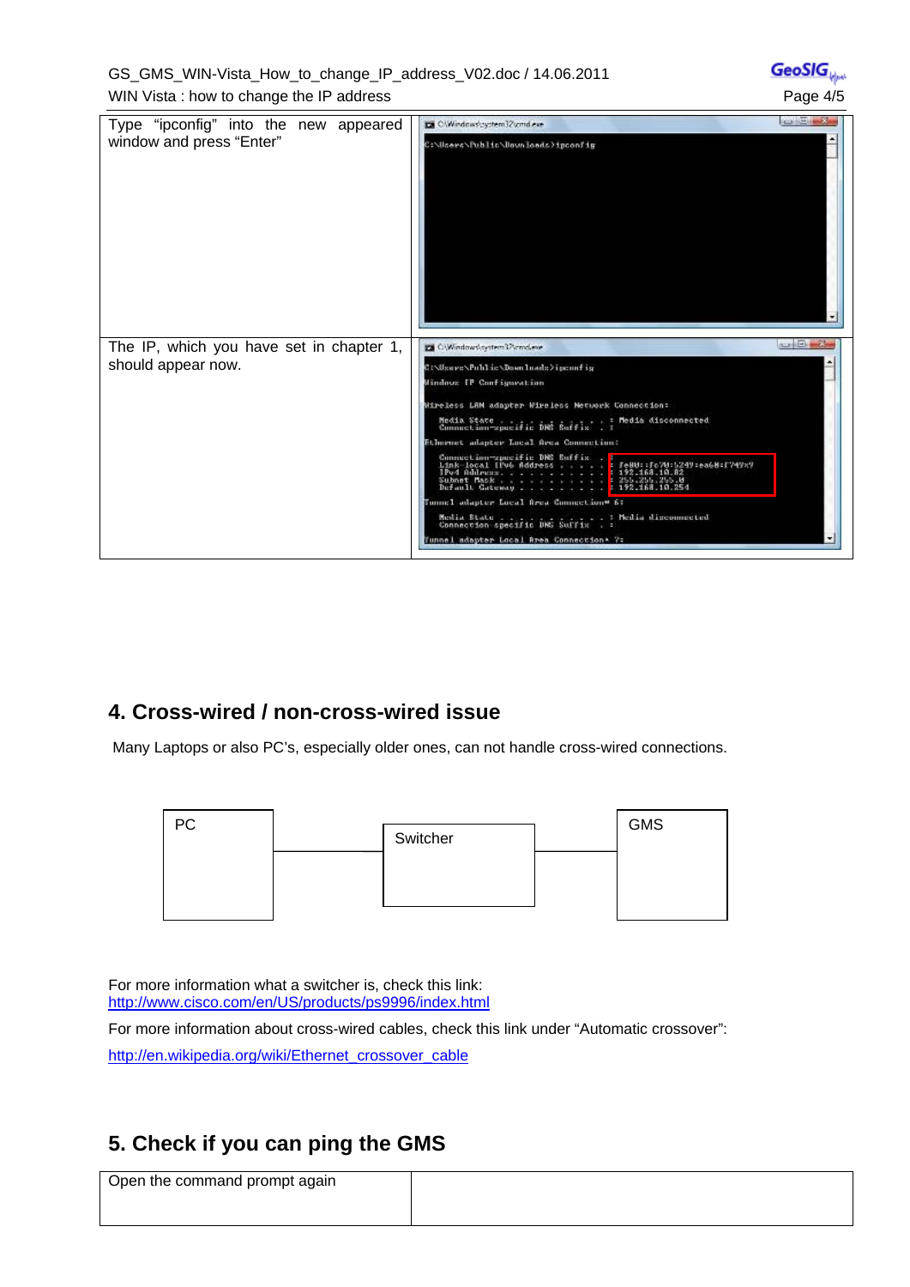GS\_GMS\_WIN-Vista\_How\_to\_change\_IP\_address\_V02.doc / 14.06.2011 WIN Vista: how to change the IP address **Page 4/5** Page 4/5

GeoSIG

| Type "ipconfig" into the new appeared<br>window and press "Enter" | <b>CONTRACTOR</b><br>Ex CWindows\cyctem32\cmd.exe<br>C:\Users\Public\Downloads)ipconfig                                                                                                                                                                                                                                                                                                                                                           |
|-------------------------------------------------------------------|---------------------------------------------------------------------------------------------------------------------------------------------------------------------------------------------------------------------------------------------------------------------------------------------------------------------------------------------------------------------------------------------------------------------------------------------------|
| The IP, which you have set in chapter 1,<br>should appear now.    | <b>POST OF BUILDING</b><br>EX C/Windows\system37\cmd.exe<br>C:\Users\Public\Downloads>ipconfig<br>Mindovs IP Configuration<br>Wireless LAM adapter Wireless Metwork Connection:<br>Media State Media disconnected<br>Commestion-specific DMS Suffix . :<br>Ethernet adapter Local Area Connection:<br>Tunnel adapter Local Area Connection* 6:<br>Media State .<br>Connection specific DRS Suffix . :<br>Tunnel adapter Local Area Connection* 7: |

## **4. Cross-wired / non-cross-wired issue**

Many Laptops or also PC's, especially older ones, can not handle cross-wired connections.



For more information what a switcher is, check this link: http://www.cisco.com/en/US/products/ps9996/index.html

For more information about cross-wired cables, check this link under "Automatic crossover": http://en.wikipedia.org/wiki/Ethernet\_crossover\_cable

## **5. Check if you can ping the GMS**

| Open the command prompt again |  |
|-------------------------------|--|
|                               |  |
|                               |  |